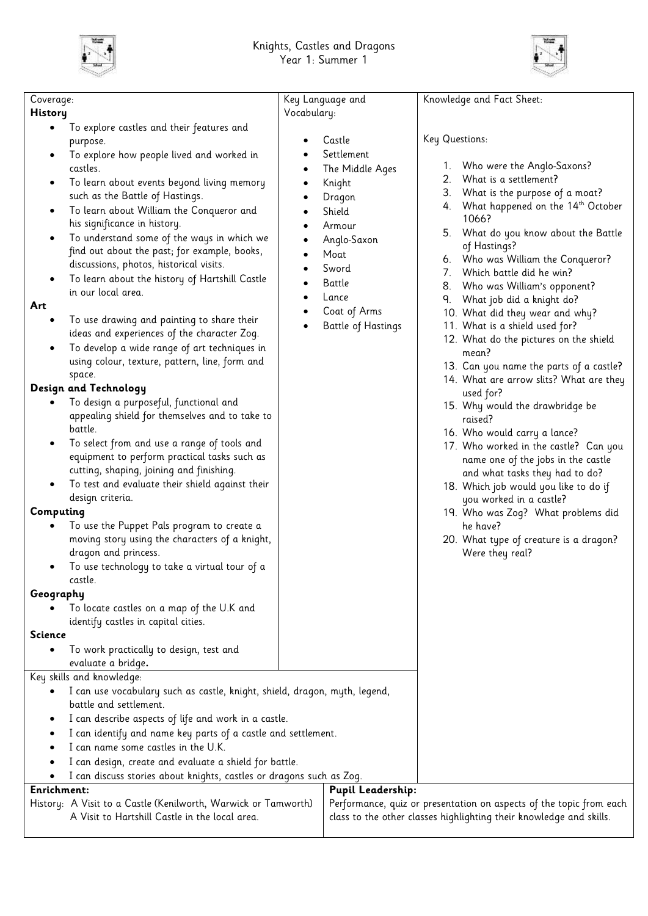



| Coverage:<br><b>History</b><br>To explore castles and their features and<br>٠<br>purpose.<br>To explore how people lived and worked in<br>castles.<br>To learn about events beyond living memory<br>٠<br>such as the Battle of Hastings.<br>To learn about William the Conqueror and<br>$\bullet$<br>his significance in history.<br>To understand some of the ways in which we<br>$\bullet$<br>find out about the past; for example, books,<br>discussions, photos, historical visits.<br>To learn about the history of Hartshill Castle<br>in our local area.<br>Art<br>To use drawing and painting to share their<br>ideas and experiences of the character Zog.<br>To develop a wide range of art techniques in<br>using colour, texture, pattern, line, form and<br>space.<br>Design and Technology<br>To design a purposeful, functional and<br>appealing shield for themselves and to take to<br>battle.<br>To select from and use a range of tools and<br>٠<br>equipment to perform practical tasks such as<br>cutting, shaping, joining and finishing.<br>To test and evaluate their shield against their<br>design criteria.<br>Computing<br>To use the Puppet Pals program to create a<br>moving story using the characters of a knight,<br>dragon and princess.<br>To use technology to take a virtual tour of a<br>$\bullet$<br>castle.<br>Geography<br>To locate castles on a map of the U.K and<br>identify castles in capital cities.<br><b>Science</b><br>To work practically to design, test and<br>evaluate a bridge.<br>Key skills and knowledge:<br>$\bullet$ | Key Language and<br>Vocabulary:<br>Castle<br>Knight<br>Dragon<br>Shield<br>Armour<br>Moat<br>Sword<br>Battle<br>Lance<br>$\bullet$ | Settlement<br>The Middle Ages<br>2.<br>3.<br>4.<br>5.<br>Anglo-Saxon<br>8.<br>٩.<br>Coat of Arms<br><b>Battle of Hastings</b> | Knowledge and Fact Sheet:<br>Key Questions:<br>1. Who were the Anglo-Saxons?<br>What is a settlement?<br>What is the purpose of a moat?<br>What happened on the 14th October<br>1066?<br>What do you know about the Battle<br>of Hastings?<br>6. Who was William the Conqueror?<br>7. Which battle did he win?<br>Who was William's opponent?<br>What job did a knight do?<br>10. What did they wear and why?<br>11. What is a shield used for?<br>12. What do the pictures on the shield<br>mean?<br>13. Can you name the parts of a castle?<br>14. What are arrow slits? What are they<br>used for?<br>15. Why would the drawbridge be<br>raised?<br>16. Who would carry a lance?<br>17. Who worked in the castle? Can you<br>name one of the jobs in the castle<br>and what tasks they had to do?<br>18. Which job would you like to do if<br>you worked in a castle?<br>19. Who was Zog? What problems did<br>he have?<br>20. What type of creature is a dragon?<br>Were they real? |  |
|------------------------------------------------------------------------------------------------------------------------------------------------------------------------------------------------------------------------------------------------------------------------------------------------------------------------------------------------------------------------------------------------------------------------------------------------------------------------------------------------------------------------------------------------------------------------------------------------------------------------------------------------------------------------------------------------------------------------------------------------------------------------------------------------------------------------------------------------------------------------------------------------------------------------------------------------------------------------------------------------------------------------------------------------------------------------------------------------------------------------------------------------------------------------------------------------------------------------------------------------------------------------------------------------------------------------------------------------------------------------------------------------------------------------------------------------------------------------------------------------------------------------------------------------------------------------------------|------------------------------------------------------------------------------------------------------------------------------------|-------------------------------------------------------------------------------------------------------------------------------|-----------------------------------------------------------------------------------------------------------------------------------------------------------------------------------------------------------------------------------------------------------------------------------------------------------------------------------------------------------------------------------------------------------------------------------------------------------------------------------------------------------------------------------------------------------------------------------------------------------------------------------------------------------------------------------------------------------------------------------------------------------------------------------------------------------------------------------------------------------------------------------------------------------------------------------------------------------------------------------------|--|
| I can use vocabulary such as castle, knight, shield, dragon, myth, legend,<br>battle and settlement.                                                                                                                                                                                                                                                                                                                                                                                                                                                                                                                                                                                                                                                                                                                                                                                                                                                                                                                                                                                                                                                                                                                                                                                                                                                                                                                                                                                                                                                                               |                                                                                                                                    |                                                                                                                               |                                                                                                                                                                                                                                                                                                                                                                                                                                                                                                                                                                                                                                                                                                                                                                                                                                                                                                                                                                                         |  |
| I can describe aspects of life and work in a castle.                                                                                                                                                                                                                                                                                                                                                                                                                                                                                                                                                                                                                                                                                                                                                                                                                                                                                                                                                                                                                                                                                                                                                                                                                                                                                                                                                                                                                                                                                                                               |                                                                                                                                    |                                                                                                                               |                                                                                                                                                                                                                                                                                                                                                                                                                                                                                                                                                                                                                                                                                                                                                                                                                                                                                                                                                                                         |  |
| I can identify and name key parts of a castle and settlement.                                                                                                                                                                                                                                                                                                                                                                                                                                                                                                                                                                                                                                                                                                                                                                                                                                                                                                                                                                                                                                                                                                                                                                                                                                                                                                                                                                                                                                                                                                                      |                                                                                                                                    |                                                                                                                               |                                                                                                                                                                                                                                                                                                                                                                                                                                                                                                                                                                                                                                                                                                                                                                                                                                                                                                                                                                                         |  |
| I can name some castles in the U.K.                                                                                                                                                                                                                                                                                                                                                                                                                                                                                                                                                                                                                                                                                                                                                                                                                                                                                                                                                                                                                                                                                                                                                                                                                                                                                                                                                                                                                                                                                                                                                |                                                                                                                                    |                                                                                                                               |                                                                                                                                                                                                                                                                                                                                                                                                                                                                                                                                                                                                                                                                                                                                                                                                                                                                                                                                                                                         |  |
| I can design, create and evaluate a shield for battle.                                                                                                                                                                                                                                                                                                                                                                                                                                                                                                                                                                                                                                                                                                                                                                                                                                                                                                                                                                                                                                                                                                                                                                                                                                                                                                                                                                                                                                                                                                                             |                                                                                                                                    |                                                                                                                               |                                                                                                                                                                                                                                                                                                                                                                                                                                                                                                                                                                                                                                                                                                                                                                                                                                                                                                                                                                                         |  |
| I can discuss stories about knights, castles or dragons such as Zog.                                                                                                                                                                                                                                                                                                                                                                                                                                                                                                                                                                                                                                                                                                                                                                                                                                                                                                                                                                                                                                                                                                                                                                                                                                                                                                                                                                                                                                                                                                               |                                                                                                                                    |                                                                                                                               |                                                                                                                                                                                                                                                                                                                                                                                                                                                                                                                                                                                                                                                                                                                                                                                                                                                                                                                                                                                         |  |
| <b>Enrichment:</b>                                                                                                                                                                                                                                                                                                                                                                                                                                                                                                                                                                                                                                                                                                                                                                                                                                                                                                                                                                                                                                                                                                                                                                                                                                                                                                                                                                                                                                                                                                                                                                 | <b>Pupil Leadership:</b>                                                                                                           |                                                                                                                               |                                                                                                                                                                                                                                                                                                                                                                                                                                                                                                                                                                                                                                                                                                                                                                                                                                                                                                                                                                                         |  |
| History: A Visit to a Castle (Kenilworth, Warwick or Tamworth)                                                                                                                                                                                                                                                                                                                                                                                                                                                                                                                                                                                                                                                                                                                                                                                                                                                                                                                                                                                                                                                                                                                                                                                                                                                                                                                                                                                                                                                                                                                     |                                                                                                                                    |                                                                                                                               | Performance, quiz or presentation on aspects of the topic from each                                                                                                                                                                                                                                                                                                                                                                                                                                                                                                                                                                                                                                                                                                                                                                                                                                                                                                                     |  |
| A Visit to Hartshill Castle in the local area.<br>class to the other classes highlighting their knowledge and skills.                                                                                                                                                                                                                                                                                                                                                                                                                                                                                                                                                                                                                                                                                                                                                                                                                                                                                                                                                                                                                                                                                                                                                                                                                                                                                                                                                                                                                                                              |                                                                                                                                    |                                                                                                                               |                                                                                                                                                                                                                                                                                                                                                                                                                                                                                                                                                                                                                                                                                                                                                                                                                                                                                                                                                                                         |  |